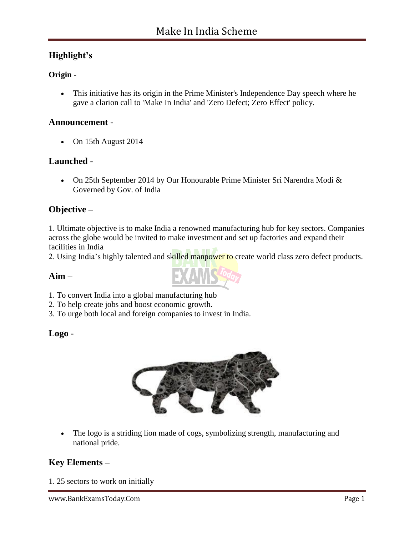# **Highlight's**

## **Origin -**

 This initiative has its origin in the Prime Minister's Independence Day speech where he gave a clarion call to 'Make In India' and 'Zero Defect; Zero Effect' policy.

## **Announcement -**

• On 15th August 2014

# **Launched -**

 On 25th September 2014 by Our Honourable Prime Minister Sri Narendra Modi & Governed by Gov. of India

# **Objective –**

1. Ultimate objective is to make India a renowned manufacturing hub for key sectors. Companies across the globe would be invited to make investment and set up factories and expand their facilities in India

2. Using India's highly talented and skilled manpower to create world class zero defect products.

## **Aim –**

- 1. To convert India into a global manufacturing hub
- 2. To help create jobs and boost economic growth.
- 3. To urge both local and foreign companies to invest in India.

## **Logo -**



• The logo is a striding lion made of cogs, symbolizing strength, manufacturing and national pride.

# **Key Elements –**

1. 25 sectors to work on initially

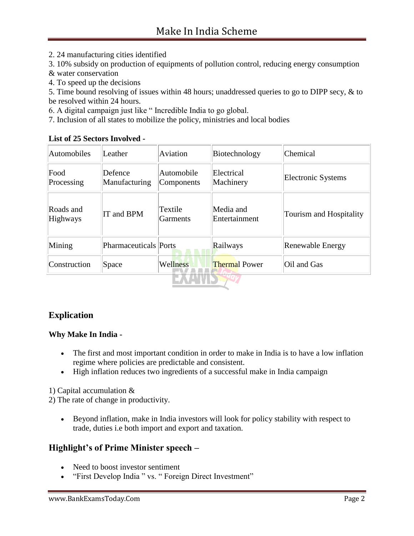2. 24 manufacturing cities identified

3. 10% subsidy on production of equipments of pollution control, reducing energy consumption

- & water conservation
- 4. To speed up the decisions

5. Time bound resolving of issues within 48 hours; unaddressed queries to go to DIPP secy, & to be resolved within 24 hours.

6. A digital campaign just like " Incredible India to go global.

7. Inclusion of all states to mobilize the policy, ministries and local bodies

#### **List of 25 Sectors Involved -**

| Automobiles                  | Leather                      | Aviation                   | Biotechnology              | Chemical                |
|------------------------------|------------------------------|----------------------------|----------------------------|-------------------------|
| Food<br>Processing           | Defence<br>Manufacturing     | Automobile<br>Components   | Electrical<br>Machinery    | Electronic Systems      |
| Roads and<br><b>Highways</b> | IT and BPM                   | Textile<br><b>Garments</b> | Media and<br>Entertainment | Tourism and Hospitality |
| Mining                       | <b>Pharmaceuticals</b> Ports |                            | Railways                   | Renewable Energy        |
| Construction                 | Space                        | Wellness                   | <b>Thermal Power</b>       | Oil and Gas             |
|                              |                              |                            |                            |                         |

## **Explication**

#### **Why Make In India -**

- The first and most important condition in order to make in India is to have a low inflation regime where policies are predictable and consistent.
- High inflation reduces two ingredients of a successful make in India campaign

1) Capital accumulation &

2) The rate of change in productivity.

 Beyond inflation, make in India investors will look for policy stability with respect to trade, duties i.e both import and export and taxation.

## **Highlight's of Prime Minister speech –**

- Need to boost investor sentiment
- "First Develop India " vs. " Foreign Direct Investment"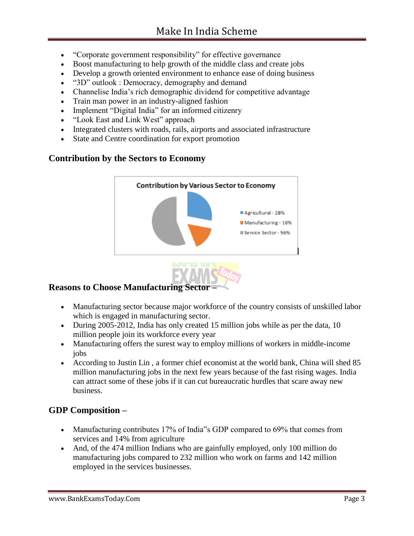- "Corporate government responsibility" for effective governance
- Boost manufacturing to help growth of the middle class and create jobs
- Develop a growth oriented environment to enhance ease of doing business
- "3D" outlook : Democracy, demography and demand
- Channelise India"s rich demographic dividend for competitive advantage
- Train man power in an industry-aligned fashion
- Implement "Digital India" for an informed citizenry
- "Look East and Link West" approach
- Integrated clusters with roads, rails, airports and associated infrastructure
- State and Centre coordination for export promotion

# **Contribution by the Sectors to Economy**



# **Reasons to Choose Manufacturing Sector –**

- Manufacturing sector because major workforce of the country consists of unskilled labor which is engaged in manufacturing sector.
- During 2005-2012, India has only created 15 million jobs while as per the data, 10 million people join its workforce every year
- Manufacturing offers the surest way to employ millions of workers in middle-income jobs
- According to Justin Lin , a former chief economist at the world bank, China will shed 85 million manufacturing jobs in the next few years because of the fast rising wages. India can attract some of these jobs if it can cut bureaucratic hurdles that scare away new business.

# **GDP Composition –**

- Manufacturing contributes 17% of India<sup>r's</sup> GDP compared to 69% that comes from services and 14% from agriculture
- And, of the 474 million Indians who are gainfully employed, only 100 million do manufacturing jobs compared to 232 million who work on farms and 142 million employed in the services businesses.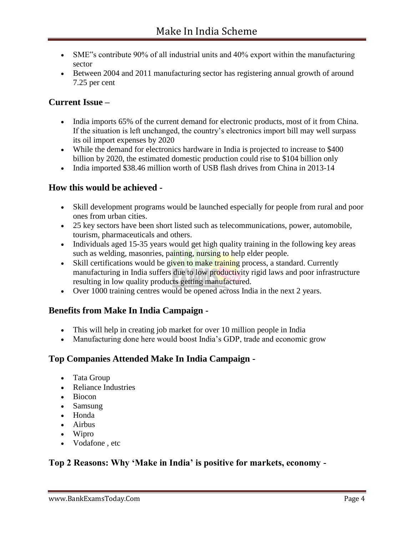- SME"s contribute 90% of all industrial units and 40% export within the manufacturing sector
- Between 2004 and 2011 manufacturing sector has registering annual growth of around 7.25 per cent

# **Current Issue –**

- India imports 65% of the current demand for electronic products, most of it from China. If the situation is left unchanged, the country"s electronics import bill may well surpass its oil import expenses by 2020
- While the demand for electronics hardware in India is projected to increase to \$400 billion by 2020, the estimated domestic production could rise to \$104 billion only
- India imported \$38.46 million worth of USB flash drives from China in 2013-14

## **How this would be achieved -**

- Skill development programs would be launched especially for people from rural and poor ones from urban cities.
- 25 key sectors have been short listed such as telecommunications, power, automobile, tourism, pharmaceuticals and others.
- Individuals aged 15-35 years would get high quality training in the following key areas such as welding, masonries, painting, nursing to help elder people.
- Skill certifications would be given to make training process, a standard. Currently manufacturing in India suffers due to low productivity rigid laws and poor infrastructure resulting in low quality products getting manufactured.
- Over 1000 training centres would be opened across India in the next 2 years.

## **Benefits from Make In India Campaign -**

- This will help in creating job market for over 10 million people in India
- Manufacturing done here would boost India"s GDP, trade and economic grow

## **Top Companies Attended Make In India Campaign -**

- Tata Group
- Reliance Industries
- Biocon
- Samsung
- Honda
- Airbus
- Wipro
- Vodafone , etc

# **Top 2 Reasons: Why 'Make in India' is positive for markets, economy -**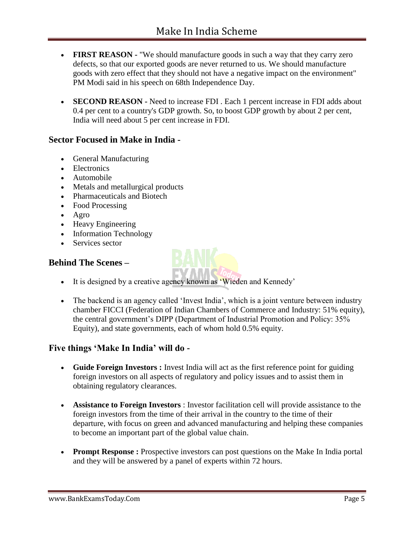- **FIRST REASON -** "We should manufacture goods in such a way that they carry zero defects, so that our exported goods are never returned to us. We should manufacture goods with zero effect that they should not have a negative impact on the environment" PM Modi said in his speech on 68th Independence Day.
- **SECOND REASON -** Need to increase FDI . Each 1 percent increase in FDI adds about 0.4 per cent to a country's GDP growth. So, to boost GDP growth by about 2 per cent, India will need about 5 per cent increase in FDI.

# **Sector Focused in Make in India -**

- General Manufacturing
- Electronics
- Automobile
- Metals and metallurgical products
- Pharmaceuticals and Biotech
- Food Processing
- $\bullet$  Agro
- Heavy Engineering
- Information Technology
- Services sector

# **Behind The Scenes –**

- It is designed by a creative agency known as 'Wieden and Kennedy'
- The backend is an agency called 'Invest India', which is a joint venture between industry chamber FICCI (Federation of Indian Chambers of Commerce and Industry: 51% equity), the central government's DIPP (Department of Industrial Promotion and Policy: 35% Equity), and state governments, each of whom hold 0.5% equity.

## **Five things 'Make In India' will do -**

- Guide Foreign Investors : Invest India will act as the first reference point for guiding foreign investors on all aspects of regulatory and policy issues and to assist them in obtaining regulatory clearances.
- **Assistance to Foreign Investors** : Investor facilitation cell will provide assistance to the foreign investors from the time of their arrival in the country to the time of their departure, with focus on green and advanced manufacturing and helping these companies to become an important part of the global value chain.
- **Prompt Response :** Prospective investors can post questions on the Make In India portal and they will be answered by a panel of experts within 72 hours.

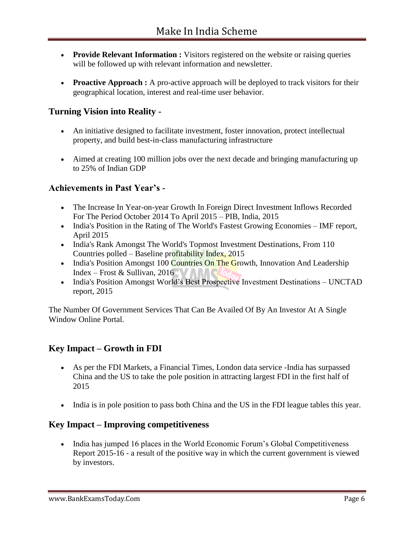- **Provide Relevant Information :** Visitors registered on the website or raising queries will be followed up with relevant information and newsletter.
- **Proactive Approach :** A pro-active approach will be deployed to track visitors for their geographical location, interest and real-time user behavior.

# **Turning Vision into Reality -**

- An initiative designed to facilitate investment, foster innovation, protect intellectual property, and build best-in-class manufacturing infrastructure
- Aimed at creating 100 million jobs over the next decade and bringing manufacturing up to 25% of Indian GDP

# **Achievements in Past Year's -**

- The Increase In Year-on-year Growth In Foreign Direct Investment Inflows Recorded For The Period October 2014 To April 2015 – PIB, India, 2015
- India's Position in the Rating of The World's Fastest Growing Economies IMF report, April 2015
- India's Rank Amongst The World's Topmost Investment Destinations, From 110 Countries polled – Baseline profitability Index, 2015
- India's Position Amongst 100 Countries On The Growth, Innovation And Leadership Index – Frost & Sullivan, 2016
- India's Position Amongst World's Best Prospective Investment Destinations UNCTAD report, 2015

The Number Of Government Services That Can Be Availed Of By An Investor At A Single Window Online Portal.

# **Key Impact – Growth in FDI**

- As per the FDI Markets, a Financial Times, London data service -India has surpassed China and the US to take the pole position in attracting largest FDI in the first half of 2015
- India is in pole position to pass both China and the US in the FDI league tables this year.

# **Key Impact – Improving competitiveness**

• India has jumped 16 places in the World Economic Forum's Global Competitiveness Report 2015-16 - a result of the positive way in which the current government is viewed by investors.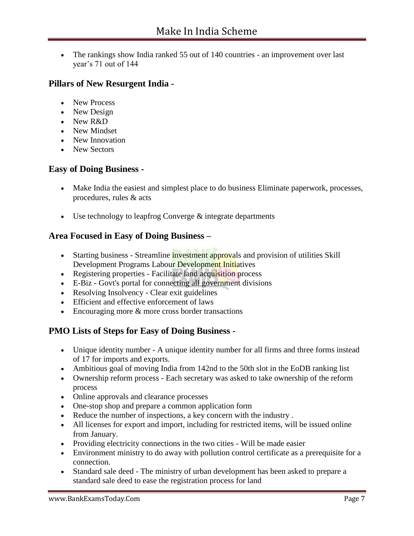• The rankings show India ranked 55 out of 140 countries - an improvement over last year"s 71 out of 144

# **Pillars of New Resurgent India -**

- New Process
- New Design
- New R&D
- New Mindset
- New Innovation
- New Sectors

## **Easy of Doing Business -**

- Make India the easiest and simplest place to do business Eliminate paperwork, processes, procedures, rules & acts
- $\bullet$  Use technology to leapfrog Converge  $\&$  integrate departments

# **Area Focused in Easy of Doing Business –**

- Starting business Streamline investment approvals and provision of utilities Skill Development Programs Labour Development Initiatives
- Registering properties Facilitate land acquisition process
- E-Biz Govt's portal for connecting all government divisions
- Resolving Insolvency Clear exit guidelines
- Efficient and effective enforcement of laws
- Encouraging more & more cross border transactions

# **PMO Lists of Steps for Easy of Doing Business -**

- Unique identity number A unique identity number for all firms and three forms instead of 17 for imports and exports.
- Ambitious goal of moving India from 142nd to the 50th slot in the EoDB ranking list
- Ownership reform process Each secretary was asked to take ownership of the reform process
- Online approvals and clearance processes
- One-stop shop and prepare a common application form
- Reduce the number of inspections, a key concern with the industry .
- All licenses for export and import, including for restricted items, will be issued online from January.
- Providing electricity connections in the two cities Will be made easier
- Environment ministry to do away with pollution control certificate as a prerequisite for a connection.
- Standard sale deed The ministry of urban development has been asked to prepare a standard sale deed to ease the registration process for land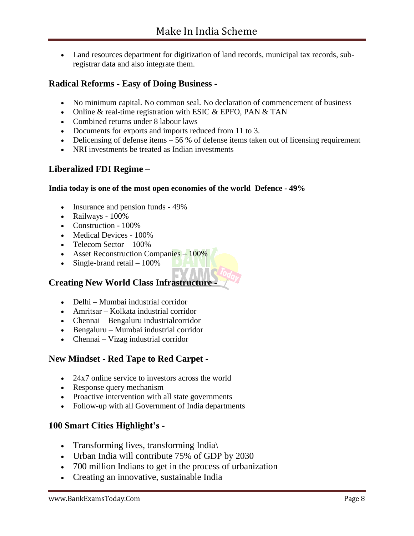Land resources department for digitization of land records, municipal tax records, subregistrar data and also integrate them.

# **Radical Reforms - Easy of Doing Business -**

- No minimum capital. No common seal. No declaration of commencement of business
- Online  $&$  real-time registration with ESIC  $&$  EPFO, PAN  $&$  TAN
- Combined returns under 8 labour laws
- Documents for exports and imports reduced from 11 to 3.
- Delicensing of defense items  $-56\%$  of defense items taken out of licensing requirement
- NRI investments be treated as Indian investments

## **Liberalized FDI Regime –**

#### **India today is one of the most open economies of the world Defence - 49%**

- Insurance and pension funds 49%
- Railways 100%
- Construction 100%
- Medical Devices 100%
- $\bullet$  Telecom Sector 100%
- Asset Reconstruction Companies 100%
- $\bullet$  Single-brand retail  $-100\%$

## **Creating New World Class Infrastructure -**

- Delhi Mumbai industrial corridor
- Amritsar Kolkata industrial corridor
- Chennai Bengaluru industrialcorridor
- Bengaluru Mumbai industrial corridor
- Chennai Vizag industrial corridor

## **New Mindset - Red Tape to Red Carpet -**

- 24x7 online service to investors across the world
- Response query mechanism
- Proactive intervention with all state governments
- Follow-up with all Government of India departments

## **100 Smart Cities Highlight's -**

- Transforming lives, transforming India
- Urban India will contribute 75% of GDP by 2030
- 700 million Indians to get in the process of urbanization
- Creating an innovative, sustainable India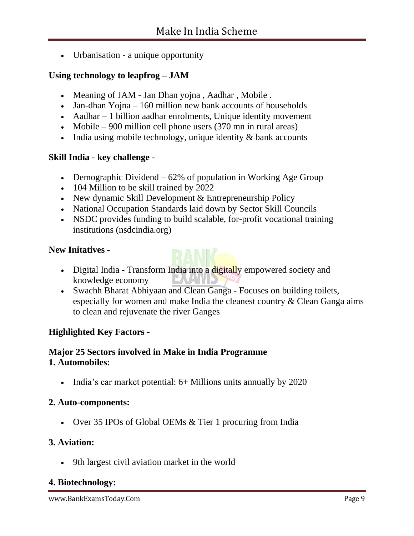• Urbanisation - a unique opportunity

# **Using technology to leapfrog – JAM**

- Meaning of JAM Jan Dhan yojna, Aadhar, Mobile.
- Jan-dhan Yojna 160 million new bank accounts of households
- Aadhar 1 billion aadhar enrolments, Unique identity movement
- Mobile 900 million cell phone users  $(370 \text{ mn in rural areas})$
- $\bullet$  India using mobile technology, unique identity  $\&$  bank accounts

# **Skill India - key challenge -**

- Demographic Dividend  $-62\%$  of population in Working Age Group
- 104 Million to be skill trained by 2022
- New dynamic Skill Development & Entrepreneurship Policy
- National Occupation Standards laid down by Sector Skill Councils
- NSDC provides funding to build scalable, for-profit vocational training institutions (nsdcindia.org)

# **New Initatives -**

- Digital India Transform India into a digitally empowered society and knowledge economy **LA**
- Swachh Bharat Abhiyaan and Clean Ganga Focuses on building toilets, especially for women and make India the cleanest country & Clean Ganga aims to clean and rejuvenate the river Ganges

# **Highlighted Key Factors -**

# **Major 25 Sectors involved in Make in India Programme 1. Automobiles:**

• India's car market potential: 6+ Millions units annually by 2020

## **2. Auto-components:**

• Over 35 IPOs of Global OEMs & Tier 1 procuring from India

## **3. Aviation:**

9th largest civil aviation market in the world

# **4. Biotechnology:**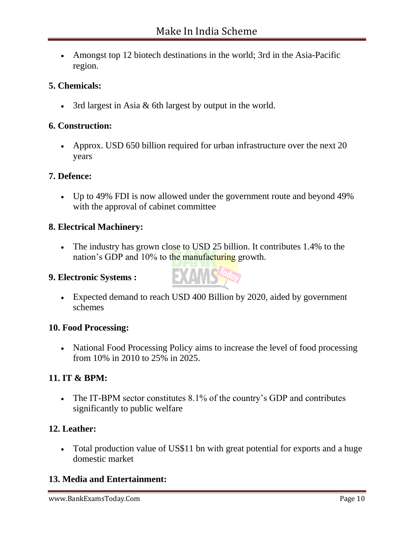• Amongst top 12 biotech destinations in the world; 3rd in the Asia-Pacific region.

# **5. Chemicals:**

3rd largest in Asia & 6th largest by output in the world.

## **6. Construction:**

• Approx. USD 650 billion required for urban infrastructure over the next 20 years

## **7. Defence:**

 Up to 49% FDI is now allowed under the government route and beyond 49% with the approval of cabinet committee

## **8. Electrical Machinery:**

• The industry has grown close to USD 25 billion. It contributes 1.4% to the nation"s GDP and 10% to the manufacturing growth.

## **9. Electronic Systems :**



 Expected demand to reach USD 400 Billion by 2020, aided by government schemes

## **10. Food Processing:**

• National Food Processing Policy aims to increase the level of food processing from 10% in 2010 to 25% in 2025.

# **11. IT & BPM:**

• The IT-BPM sector constitutes 8.1% of the country's GDP and contributes significantly to public welfare

# **12. Leather:**

 Total production value of US\$11 bn with great potential for exports and a huge domestic market

# **13. Media and Entertainment:**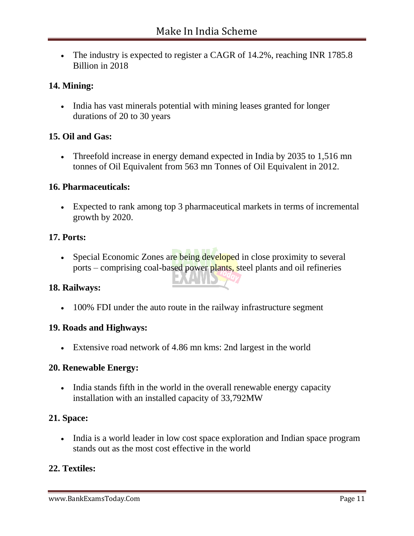• The industry is expected to register a CAGR of 14.2%, reaching INR 1785.8 Billion in 2018

## **14. Mining:**

• India has vast minerals potential with mining leases granted for longer durations of 20 to 30 years

## **15. Oil and Gas:**

• Threefold increase in energy demand expected in India by 2035 to 1,516 mn tonnes of Oil Equivalent from 563 mn Tonnes of Oil Equivalent in 2012.

## **16. Pharmaceuticals:**

 Expected to rank among top 3 pharmaceutical markets in terms of incremental growth by 2020.

## **17. Ports:**

• Special Economic Zones are being developed in close proximity to several ports – comprising coal-based power plants, steel plants and oil refineries

## **18. Railways:**

• 100% FDI under the auto route in the railway infrastructure segment

#### **19. Roads and Highways:**

Extensive road network of 4.86 mn kms: 2nd largest in the world

## **20. Renewable Energy:**

• India stands fifth in the world in the overall renewable energy capacity installation with an installed capacity of 33,792MW

## **21. Space:**

• India is a world leader in low cost space exploration and Indian space program stands out as the most cost effective in the world

## **22. Textiles:**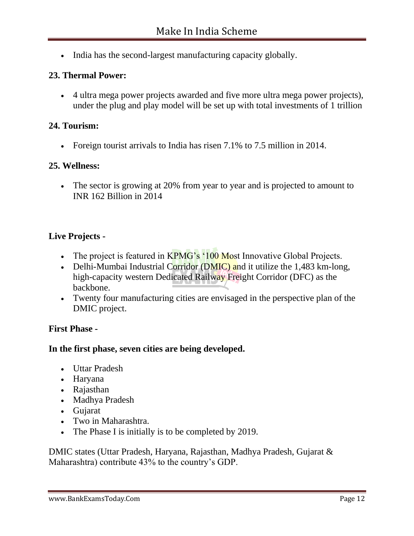• India has the second-largest manufacturing capacity globally.

# **23. Thermal Power:**

 4 ultra mega power projects awarded and five more ultra mega power projects), under the plug and play model will be set up with total investments of 1 trillion

## **24. Tourism:**

• Foreign tourist arrivals to India has risen 7.1% to 7.5 million in 2014.

## **25. Wellness:**

 The sector is growing at 20% from year to year and is projected to amount to INR 162 Billion in 2014

# **Live Projects -**

- The project is featured in  $KPMG's '100 Most Innovative Global Projects.$
- Delhi-Mumbai Industrial Corridor (DMIC) and it utilize the  $1,483$  km-long, high-capacity western Dedicated Railway Freight Corridor (DFC) as the backbone.
- Twenty four manufacturing cities are envisaged in the perspective plan of the DMIC project.

## **First Phase -**

## **In the first phase, seven cities are being developed.**

- Uttar Pradesh
- Haryana
- Rajasthan
- Madhya Pradesh
- Gujarat
- Two in Maharashtra.
- The Phase I is initially is to be completed by 2019.

DMIC states (Uttar Pradesh, Haryana, Rajasthan, Madhya Pradesh, Gujarat & Maharashtra) contribute 43% to the country's GDP.